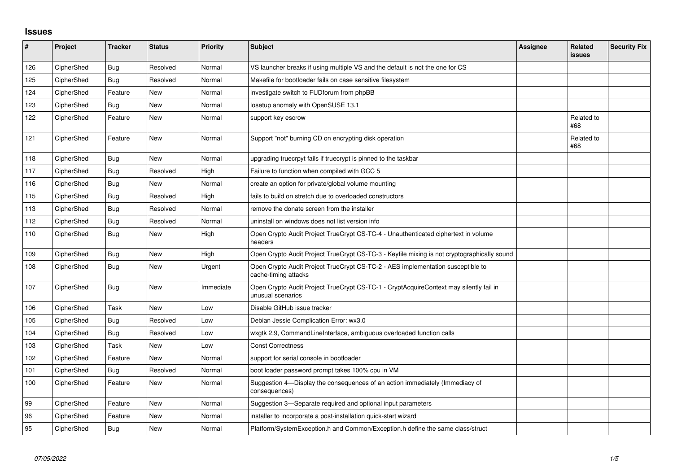## **Issues**

| #   | Project    | <b>Tracker</b> | <b>Status</b> | <b>Priority</b> | <b>Subject</b>                                                                                              | <b>Assignee</b> | Related<br>issues | <b>Security Fix</b> |
|-----|------------|----------------|---------------|-----------------|-------------------------------------------------------------------------------------------------------------|-----------------|-------------------|---------------------|
| 126 | CipherShed | <b>Bug</b>     | Resolved      | Normal          | VS launcher breaks if using multiple VS and the default is not the one for CS                               |                 |                   |                     |
| 125 | CipherShed | <b>Bug</b>     | Resolved      | Normal          | Makefile for bootloader fails on case sensitive filesystem                                                  |                 |                   |                     |
| 124 | CipherShed | Feature        | New           | Normal          | investigate switch to FUDforum from phpBB                                                                   |                 |                   |                     |
| 123 | CipherShed | <b>Bug</b>     | <b>New</b>    | Normal          | losetup anomaly with OpenSUSE 13.1                                                                          |                 |                   |                     |
| 122 | CipherShed | Feature        | New           | Normal          | support key escrow                                                                                          |                 | Related to<br>#68 |                     |
| 121 | CipherShed | Feature        | <b>New</b>    | Normal          | Support "not" burning CD on encrypting disk operation                                                       |                 | Related to<br>#68 |                     |
| 118 | CipherShed | Bug            | <b>New</b>    | Normal          | upgrading truecrpyt fails if truecrypt is pinned to the taskbar                                             |                 |                   |                     |
| 117 | CipherShed | <b>Bug</b>     | Resolved      | High            | Failure to function when compiled with GCC 5                                                                |                 |                   |                     |
| 116 | CipherShed | <b>Bug</b>     | <b>New</b>    | Normal          | create an option for private/global volume mounting                                                         |                 |                   |                     |
| 115 | CipherShed | <b>Bug</b>     | Resolved      | High            | fails to build on stretch due to overloaded constructors                                                    |                 |                   |                     |
| 113 | CipherShed | Bug            | Resolved      | Normal          | remove the donate screen from the installer                                                                 |                 |                   |                     |
| 112 | CipherShed | Bug            | Resolved      | Normal          | uninstall on windows does not list version info                                                             |                 |                   |                     |
| 110 | CipherShed | <b>Bug</b>     | New           | High            | Open Crypto Audit Project TrueCrypt CS-TC-4 - Unauthenticated ciphertext in volume<br>headers               |                 |                   |                     |
| 109 | CipherShed | Bug            | <b>New</b>    | High            | Open Crypto Audit Project TrueCrypt CS-TC-3 - Keyfile mixing is not cryptographically sound                 |                 |                   |                     |
| 108 | CipherShed | <b>Bug</b>     | New           | Urgent          | Open Crypto Audit Project TrueCrypt CS-TC-2 - AES implementation susceptible to<br>cache-timing attacks     |                 |                   |                     |
| 107 | CipherShed | Bug            | <b>New</b>    | Immediate       | Open Crypto Audit Project TrueCrypt CS-TC-1 - CryptAcquireContext may silently fail in<br>unusual scenarios |                 |                   |                     |
| 106 | CipherShed | Task           | <b>New</b>    | Low             | Disable GitHub issue tracker                                                                                |                 |                   |                     |
| 105 | CipherShed | <b>Bug</b>     | Resolved      | Low             | Debian Jessie Complication Error: wx3.0                                                                     |                 |                   |                     |
| 104 | CipherShed | Bug            | Resolved      | Low             | wxgtk 2.9, CommandLineInterface, ambiguous overloaded function calls                                        |                 |                   |                     |
| 103 | CipherShed | Task           | <b>New</b>    | Low             | <b>Const Correctness</b>                                                                                    |                 |                   |                     |
| 102 | CipherShed | Feature        | <b>New</b>    | Normal          | support for serial console in bootloader                                                                    |                 |                   |                     |
| 101 | CipherShed | <b>Bug</b>     | Resolved      | Normal          | boot loader password prompt takes 100% cpu in VM                                                            |                 |                   |                     |
| 100 | CipherShed | Feature        | <b>New</b>    | Normal          | Suggestion 4-Display the consequences of an action immediately (Immediacy of<br>consequences)               |                 |                   |                     |
| 99  | CipherShed | Feature        | <b>New</b>    | Normal          | Suggestion 3—Separate required and optional input parameters                                                |                 |                   |                     |
| 96  | CipherShed | Feature        | New           | Normal          | installer to incorporate a post-installation quick-start wizard                                             |                 |                   |                     |
| 95  | CipherShed | Bug            | <b>New</b>    | Normal          | Platform/SystemException.h and Common/Exception.h define the same class/struct                              |                 |                   |                     |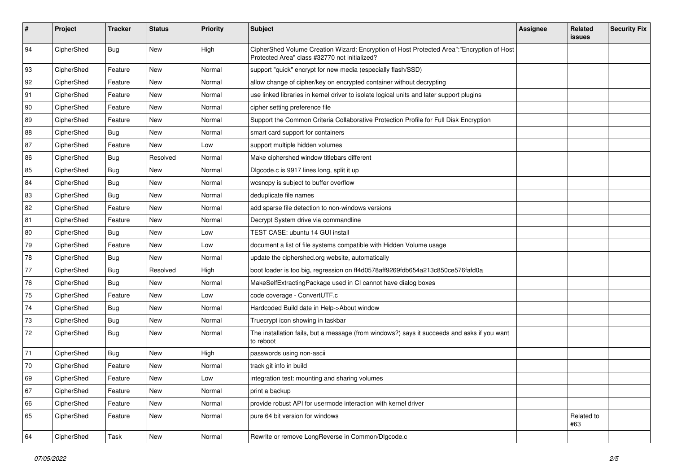| #  | Project    | <b>Tracker</b> | <b>Status</b> | <b>Priority</b> | Subject                                                                                                                                    | Assignee | Related<br>issues | <b>Security Fix</b> |
|----|------------|----------------|---------------|-----------------|--------------------------------------------------------------------------------------------------------------------------------------------|----------|-------------------|---------------------|
| 94 | CipherShed | Bug            | New           | High            | CipherShed Volume Creation Wizard: Encryption of Host Protected Area":"Encryption of Host<br>Protected Area" class #32770 not initialized? |          |                   |                     |
| 93 | CipherShed | Feature        | New           | Normal          | support "quick" encrypt for new media (especially flash/SSD)                                                                               |          |                   |                     |
| 92 | CipherShed | Feature        | New           | Normal          | allow change of cipher/key on encrypted container without decrypting                                                                       |          |                   |                     |
| 91 | CipherShed | Feature        | New           | Normal          | use linked libraries in kernel driver to isolate logical units and later support plugins                                                   |          |                   |                     |
| 90 | CipherShed | Feature        | <b>New</b>    | Normal          | cipher setting preference file                                                                                                             |          |                   |                     |
| 89 | CipherShed | Feature        | New           | Normal          | Support the Common Criteria Collaborative Protection Profile for Full Disk Encryption                                                      |          |                   |                     |
| 88 | CipherShed | <b>Bug</b>     | New           | Normal          | smart card support for containers                                                                                                          |          |                   |                     |
| 87 | CipherShed | Feature        | New           | Low             | support multiple hidden volumes                                                                                                            |          |                   |                     |
| 86 | CipherShed | <b>Bug</b>     | Resolved      | Normal          | Make ciphershed window titlebars different                                                                                                 |          |                   |                     |
| 85 | CipherShed | <b>Bug</b>     | New           | Normal          | Digcode.c is 9917 lines long, split it up                                                                                                  |          |                   |                     |
| 84 | CipherShed | <b>Bug</b>     | New           | Normal          | wcsncpy is subject to buffer overflow                                                                                                      |          |                   |                     |
| 83 | CipherShed | <b>Bug</b>     | New           | Normal          | deduplicate file names                                                                                                                     |          |                   |                     |
| 82 | CipherShed | Feature        | New           | Normal          | add sparse file detection to non-windows versions                                                                                          |          |                   |                     |
| 81 | CipherShed | Feature        | New           | Normal          | Decrypt System drive via commandline                                                                                                       |          |                   |                     |
| 80 | CipherShed | <b>Bug</b>     | New           | Low             | TEST CASE: ubuntu 14 GUI install                                                                                                           |          |                   |                     |
| 79 | CipherShed | Feature        | New           | Low             | document a list of file systems compatible with Hidden Volume usage                                                                        |          |                   |                     |
| 78 | CipherShed | <b>Bug</b>     | New           | Normal          | update the ciphershed.org website, automatically                                                                                           |          |                   |                     |
| 77 | CipherShed | <b>Bug</b>     | Resolved      | High            | boot loader is too big, regression on ff4d0578aff9269fdb654a213c850ce576fafd0a                                                             |          |                   |                     |
| 76 | CipherShed | <b>Bug</b>     | New           | Normal          | MakeSelfExtractingPackage used in CI cannot have dialog boxes                                                                              |          |                   |                     |
| 75 | CipherShed | Feature        | New           | Low             | code coverage - ConvertUTF.c                                                                                                               |          |                   |                     |
| 74 | CipherShed | <b>Bug</b>     | New           | Normal          | Hardcoded Build date in Help->About window                                                                                                 |          |                   |                     |
| 73 | CipherShed | Bug            | New           | Normal          | Truecrypt icon showing in taskbar                                                                                                          |          |                   |                     |
| 72 | CipherShed | <b>Bug</b>     | New           | Normal          | The installation fails, but a message (from windows?) says it succeeds and asks if you want<br>to reboot                                   |          |                   |                     |
| 71 | CipherShed | <b>Bug</b>     | New           | High            | passwords using non-ascii                                                                                                                  |          |                   |                     |
| 70 | CipherShed | Feature        | New           | Normal          | track git info in build                                                                                                                    |          |                   |                     |
| 69 | CipherShed | Feature        | <b>New</b>    | Low             | integration test: mounting and sharing volumes                                                                                             |          |                   |                     |
| 67 | CipherShed | Feature        | New           | Normal          | print a backup                                                                                                                             |          |                   |                     |
| 66 | CipherShed | Feature        | New           | Normal          | provide robust API for usermode interaction with kernel driver                                                                             |          |                   |                     |
| 65 | CipherShed | Feature        | New           | Normal          | pure 64 bit version for windows                                                                                                            |          | Related to<br>#63 |                     |
| 64 | CipherShed | Task           | New           | Normal          | Rewrite or remove LongReverse in Common/Dlgcode.c                                                                                          |          |                   |                     |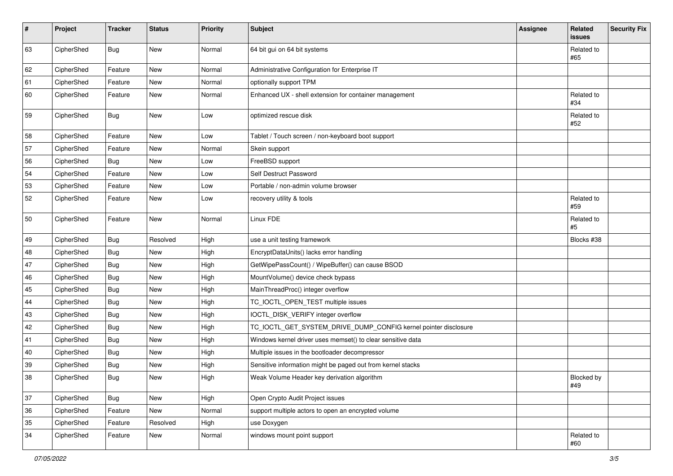| $\pmb{\#}$ | Project    | <b>Tracker</b> | <b>Status</b> | <b>Priority</b> | <b>Subject</b>                                                  | Assignee | Related<br>issues | <b>Security Fix</b> |
|------------|------------|----------------|---------------|-----------------|-----------------------------------------------------------------|----------|-------------------|---------------------|
| 63         | CipherShed | <b>Bug</b>     | New           | Normal          | 64 bit gui on 64 bit systems                                    |          | Related to<br>#65 |                     |
| 62         | CipherShed | Feature        | New           | Normal          | Administrative Configuration for Enterprise IT                  |          |                   |                     |
| 61         | CipherShed | Feature        | New           | Normal          | optionally support TPM                                          |          |                   |                     |
| 60         | CipherShed | Feature        | New           | Normal          | Enhanced UX - shell extension for container management          |          | Related to<br>#34 |                     |
| 59         | CipherShed | Bug            | New           | Low             | optimized rescue disk                                           |          | Related to<br>#52 |                     |
| 58         | CipherShed | Feature        | New           | Low             | Tablet / Touch screen / non-keyboard boot support               |          |                   |                     |
| 57         | CipherShed | Feature        | New           | Normal          | Skein support                                                   |          |                   |                     |
| 56         | CipherShed | <b>Bug</b>     | New           | Low             | FreeBSD support                                                 |          |                   |                     |
| 54         | CipherShed | Feature        | <b>New</b>    | Low             | Self Destruct Password                                          |          |                   |                     |
| 53         | CipherShed | Feature        | New           | Low             | Portable / non-admin volume browser                             |          |                   |                     |
| 52         | CipherShed | Feature        | New           | Low             | recovery utility & tools                                        |          | Related to<br>#59 |                     |
| 50         | CipherShed | Feature        | New           | Normal          | Linux FDE                                                       |          | Related to<br>#5  |                     |
| 49         | CipherShed | <b>Bug</b>     | Resolved      | High            | use a unit testing framework                                    |          | Blocks #38        |                     |
| 48         | CipherShed | <b>Bug</b>     | New           | High            | EncryptDataUnits() lacks error handling                         |          |                   |                     |
| $47\,$     | CipherShed | <b>Bug</b>     | New           | High            | GetWipePassCount() / WipeBuffer() can cause BSOD                |          |                   |                     |
| 46         | CipherShed | <b>Bug</b>     | New           | High            | MountVolume() device check bypass                               |          |                   |                     |
| 45         | CipherShed | <b>Bug</b>     | New           | High            | MainThreadProc() integer overflow                               |          |                   |                     |
| 44         | CipherShed | <b>Bug</b>     | New           | High            | TC_IOCTL_OPEN_TEST multiple issues                              |          |                   |                     |
| 43         | CipherShed | <b>Bug</b>     | New           | High            | IOCTL_DISK_VERIFY integer overflow                              |          |                   |                     |
| 42         | CipherShed | <b>Bug</b>     | New           | High            | TC_IOCTL_GET_SYSTEM_DRIVE_DUMP_CONFIG kernel pointer disclosure |          |                   |                     |
| 41         | CipherShed | <b>Bug</b>     | New           | High            | Windows kernel driver uses memset() to clear sensitive data     |          |                   |                     |
| 40         | CipherShed | <b>Bug</b>     | New           | High            | Multiple issues in the bootloader decompressor                  |          |                   |                     |
| 39         | CipherShed | <b>Bug</b>     | New           | High            | Sensitive information might be paged out from kernel stacks     |          |                   |                     |
| 38         | CipherShed | <b>Bug</b>     | New           | High            | Weak Volume Header key derivation algorithm                     |          | Blocked by<br>#49 |                     |
| 37         | CipherShed | <b>Bug</b>     | New           | High            | Open Crypto Audit Project issues                                |          |                   |                     |
| 36         | CipherShed | Feature        | New           | Normal          | support multiple actors to open an encrypted volume             |          |                   |                     |
| 35         | CipherShed | Feature        | Resolved      | High            | use Doxygen                                                     |          |                   |                     |
| 34         | CipherShed | Feature        | New           | Normal          | windows mount point support                                     |          | Related to<br>#60 |                     |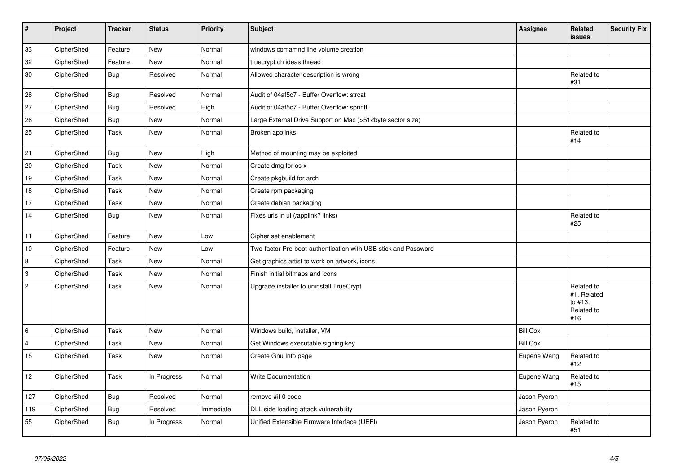| $\vert$ #      | Project    | <b>Tracker</b> | <b>Status</b> | <b>Priority</b> | <b>Subject</b>                                                 | <b>Assignee</b> | Related<br>issues                                         | <b>Security Fix</b> |
|----------------|------------|----------------|---------------|-----------------|----------------------------------------------------------------|-----------------|-----------------------------------------------------------|---------------------|
| 33             | CipherShed | Feature        | <b>New</b>    | Normal          | windows comamnd line volume creation                           |                 |                                                           |                     |
| 32             | CipherShed | Feature        | New           | Normal          | truecrypt.ch ideas thread                                      |                 |                                                           |                     |
| 30             | CipherShed | <b>Bug</b>     | Resolved      | Normal          | Allowed character description is wrong                         |                 | Related to<br>#31                                         |                     |
| 28             | CipherShed | <b>Bug</b>     | Resolved      | Normal          | Audit of 04af5c7 - Buffer Overflow: strcat                     |                 |                                                           |                     |
| 27             | CipherShed | <b>Bug</b>     | Resolved      | High            | Audit of 04af5c7 - Buffer Overflow: sprintf                    |                 |                                                           |                     |
| 26             | CipherShed | <b>Bug</b>     | <b>New</b>    | Normal          | Large External Drive Support on Mac (>512byte sector size)     |                 |                                                           |                     |
| 25             | CipherShed | Task           | New           | Normal          | Broken applinks                                                |                 | Related to<br>#14                                         |                     |
| 21             | CipherShed | <b>Bug</b>     | <b>New</b>    | High            | Method of mounting may be exploited                            |                 |                                                           |                     |
| 20             | CipherShed | Task           | <b>New</b>    | Normal          | Create dmg for os x                                            |                 |                                                           |                     |
| 19             | CipherShed | Task           | <b>New</b>    | Normal          | Create pkgbuild for arch                                       |                 |                                                           |                     |
| 18             | CipherShed | Task           | <b>New</b>    | Normal          | Create rpm packaging                                           |                 |                                                           |                     |
| 17             | CipherShed | Task           | New           | Normal          | Create debian packaging                                        |                 |                                                           |                     |
| 14             | CipherShed | <b>Bug</b>     | New           | Normal          | Fixes urls in ui (/applink? links)                             |                 | Related to<br>#25                                         |                     |
| 11             | CipherShed | Feature        | New           | Low             | Cipher set enablement                                          |                 |                                                           |                     |
| 10             | CipherShed | Feature        | <b>New</b>    | Low             | Two-factor Pre-boot-authentication with USB stick and Password |                 |                                                           |                     |
| $\overline{8}$ | CipherShed | Task           | New           | Normal          | Get graphics artist to work on artwork, icons                  |                 |                                                           |                     |
| 3              | CipherShed | Task           | New           | Normal          | Finish initial bitmaps and icons                               |                 |                                                           |                     |
| $\overline{2}$ | CipherShed | Task           | New           | Normal          | Upgrade installer to uninstall TrueCrypt                       |                 | Related to<br>#1, Related<br>to #13,<br>Related to<br>#16 |                     |
| 6              | CipherShed | Task           | <b>New</b>    | Normal          | Windows build, installer, VM                                   | <b>Bill Cox</b> |                                                           |                     |
| $\overline{4}$ | CipherShed | Task           | <b>New</b>    | Normal          | Get Windows executable signing key                             | <b>Bill Cox</b> |                                                           |                     |
| 15             | CipherShed | Task           | New           | Normal          | Create Gnu Info page                                           | Eugene Wang     | Related to<br>#12                                         |                     |
| 12             | CipherShed | Task           | In Progress   | Normal          | <b>Write Documentation</b>                                     | Eugene Wang     | Related to<br>#15                                         |                     |
| 127            | CipherShed | Bug            | Resolved      | Normal          | remove #if 0 code                                              | Jason Pyeron    |                                                           |                     |
| 119            | CipherShed | <b>Bug</b>     | Resolved      | Immediate       | DLL side loading attack vulnerability                          | Jason Pyeron    |                                                           |                     |
| 55             | CipherShed | Bug            | In Progress   | Normal          | Unified Extensible Firmware Interface (UEFI)                   | Jason Pyeron    | Related to<br>#51                                         |                     |